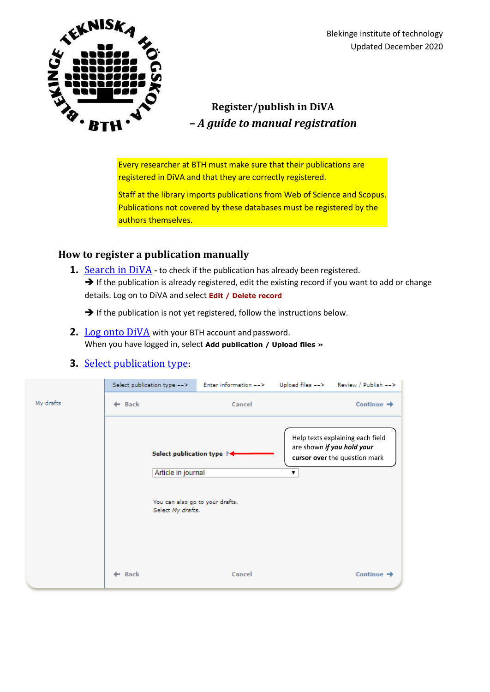

## **Register/publish in DiVA** *– A guide to manual registration*

Every researcher at BTH must make sure that their publications are registered in DiVA and that they are correctly registered.

Staff at the library imports publications from Web of Science and Scopus. Publications not covered by these databases must be registered by the authors themselves.

## **How to register a publication manually**

**1.** [Search in DiVA](http://bth.diva-portal.org/) - to check if the publication has already been registered.  $\rightarrow$  If the publication is already registered, edit the existing record if you want to add or change details. Log on to DiVA and select **Edit / Delete record**

 $\rightarrow$  If the publication is not yet registered, follow the instructions below.

**2.** [Log onto DiVA](https://bth.diva-portal.org/dream/login.jsf) with your BTH account and password. When you have logged in, select **Add publication / Upload files »**

## **3.** Select publication type**:**

|           | Select publication type --> | Enter information -->                                                                                    | Upload files --> Review / Publish -->                                                                |
|-----------|-----------------------------|----------------------------------------------------------------------------------------------------------|------------------------------------------------------------------------------------------------------|
| My drafts | $\leftarrow$ Back           | Cancel                                                                                                   | Continue $\rightarrow$                                                                               |
|           |                             | Select publication type ?<<br>Article in journal<br>You can also go to your drafts.<br>Select My drafts. | Help texts explaining each field<br>are shown if you hold your<br>cursor over the question mark<br>7 |
|           | ← Back                      | Cancel                                                                                                   | Continue $\rightarrow$                                                                               |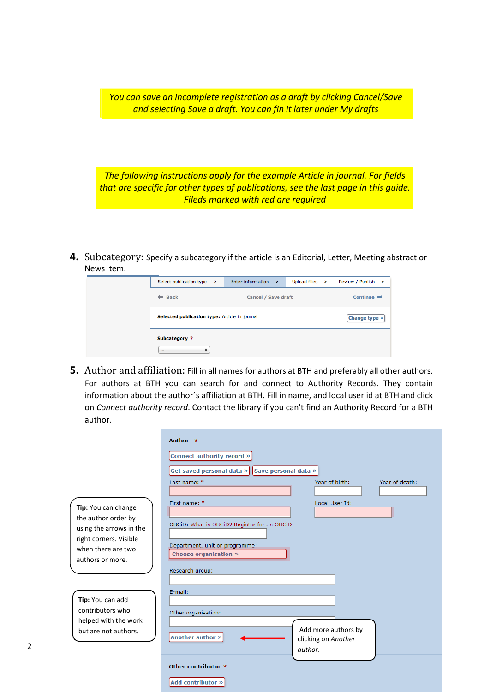*You can save an incomplete registration as a draft by clicking Cancel/Save and selecting Save a draft. You can fin it later under My drafts*

*The following instructions apply for the example Article in journal. For fields that are specific for other types of publications, see the last page in this guide. Fileds marked with red are required*

**4.** Subcategory: Specify a subcategory if the article is an Editorial, Letter, Meeting abstract or News item.

| Select publication type -->                   | Enter information --> | Upload files --> | Review / Publish -->   |
|-----------------------------------------------|-----------------------|------------------|------------------------|
| <b>Back</b><br>-                              | Cancel / Save draft   |                  | Continue $\rightarrow$ |
| Selected publication type: Article in journal |                       |                  | Change type »          |
| Subcategory?<br>۰<br>$\overline{\phantom{a}}$ |                       |                  |                        |

**5.** Author and affiliation: Fill in all names for authors at BTH and preferably all other authors. For authors at BTH you can search for and connect to Authority Records. They contain information about the author´s affiliation at BTH. Fill in name, and local user id at BTH and click on *Connect authority record*. Contact the library if you can't find an Authority Record for a BTH author.

|                                                   | Author ?                                         |
|---------------------------------------------------|--------------------------------------------------|
|                                                   | Connect authority record »                       |
|                                                   | Get saved personal data »   Save personal data » |
|                                                   | Last name: *<br>Year of birth:<br>Year of death: |
| Tip: You can change                               | First name: *<br>Local User Id:                  |
| the author order by                               | ORCID: What is ORCID? Register for an ORCID      |
| using the arrows in the<br>right corners. Visible |                                                  |
| when there are two                                | Department, unit or programme:                   |
| authors or more.                                  | <b>Choose organisation »</b>                     |
|                                                   | Research group:                                  |
|                                                   | E-mail:                                          |
| Tip: You can add                                  |                                                  |
| contributors who                                  | Other organisation:                              |
| helped with the work<br>but are not authors.      | Add more authors by                              |
|                                                   | Another author »<br>clicking on Another          |
|                                                   | author.                                          |
|                                                   | <b>Other contributor ?</b>                       |

Add contributor »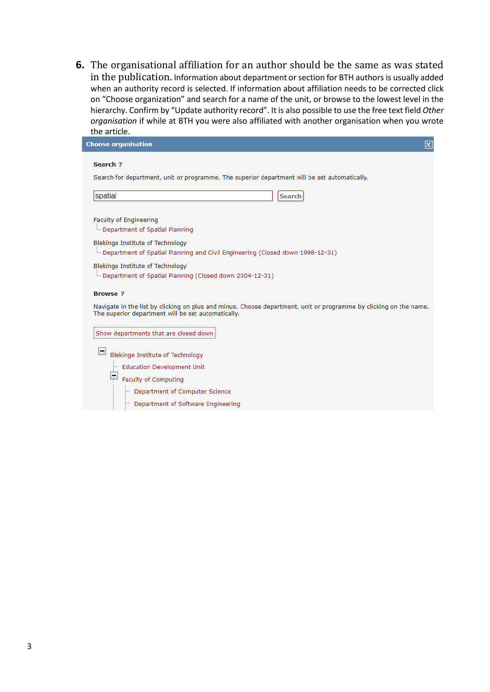**6.** The organisational affiliation for an author should be the same as was stated in the publication. Information about department or section for BTH authors is usually added when an authority record is selected. If information about affiliation needs to be corrected click on "Choose organization" and search for a name of the unit, or browse to the lowest level in the hierarchy. Confirm by "Update authority record". It is also possible to use the free text field *Other organisation* if while at BTH you were also affiliated with another organisation when you wrote the article.

| <b>Choose organisation</b><br>$\overline{\mathbf{x}}$                                                                                                                   |
|-------------------------------------------------------------------------------------------------------------------------------------------------------------------------|
| Search ?<br>Search for department, unit or programme. The superior department will be set automatically.                                                                |
| spatial<br><b>Search</b>                                                                                                                                                |
| Faculty of Engineering<br>└ Department of Spatial Planning                                                                                                              |
| Blekinge Institute of Technology<br>└Department of Spatial Planning and Civil Engineering (Closed down 1998-12-31)                                                      |
| Blekinge Institute of Technology<br>└ Department of Spatial Planning (Closed down 2004-12-31)                                                                           |
| <b>Browse?</b>                                                                                                                                                          |
| Navigate in the list by clicking on plus and minus. Choose department, unit or programme by clicking on the name.<br>The superior department will be set automatically. |
| Show departments that are closed down                                                                                                                                   |
| Blekinge Institute of Technology                                                                                                                                        |
| <b>Education Development Unit</b>                                                                                                                                       |
| Faculty of Computing                                                                                                                                                    |
| Department of Computer Science                                                                                                                                          |
| Department of Software Engineering                                                                                                                                      |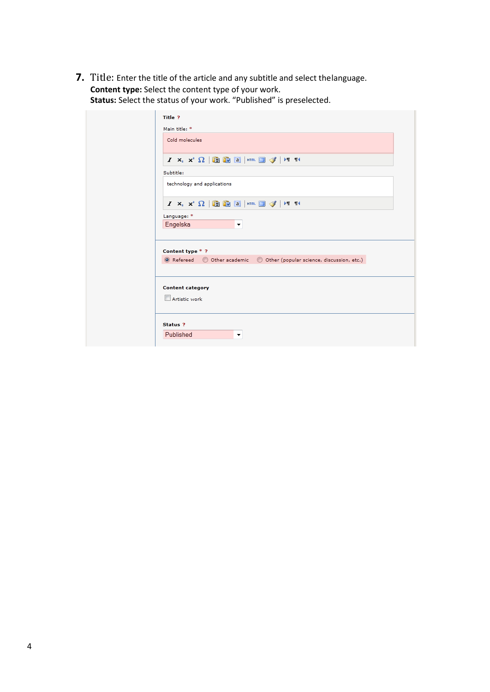**7.** Title: Enter the title of the article and any subtitle and select thelanguage. **Content type:** Select the content type of your work. **Status:** Select the status of your work. "Published" is preselected.

| Title ?                                                                                                                                                     |  |
|-------------------------------------------------------------------------------------------------------------------------------------------------------------|--|
| Main title: *                                                                                                                                               |  |
| Cold molecules                                                                                                                                              |  |
| $I$ $X_i$ $X^2$ $\Omega$ $ \mathbf{B}$ $\mathbf{B}$ $\mathbf{B}$ $\mathbf{B}$ $\mathbf{B}$ $\mathbf{B}$ $\mathbf{C}$ $\mathbf{F}$ $\mathbf{F}$ $\mathbf{F}$ |  |
| Subtitle:                                                                                                                                                   |  |
| technology and applications                                                                                                                                 |  |
| $I \times_{\scriptscriptstyle{2}} x^2 \Omega$   the the $\boxed{3}$   htm. $\boxed{3}$ of   M $\boxed{14}$                                                  |  |
| Language: *                                                                                                                                                 |  |
| Engelska<br>$\blacktriangledown$                                                                                                                            |  |
| Content type * ?                                                                                                                                            |  |
| ◎ Refereed ◎ Other academic ◎ Other (popular science, discussion, etc.)                                                                                     |  |
| <b>Content category</b><br>Artistic work                                                                                                                    |  |
| Status ?<br>Published<br>۰                                                                                                                                  |  |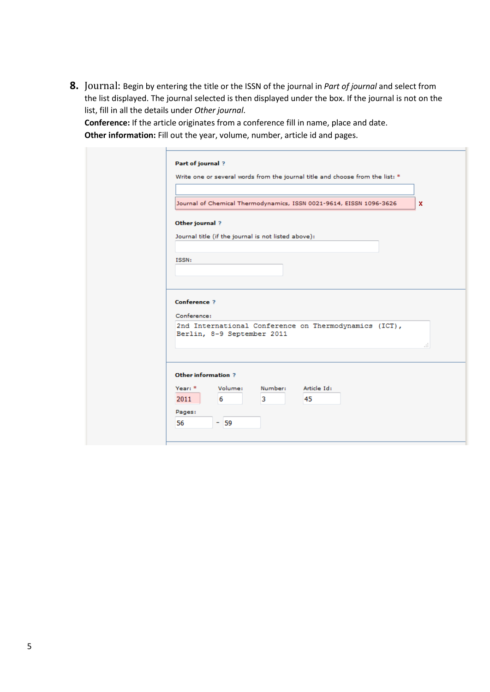**8.** Journal: Begin by entering the title or the ISSN of the journal in *Part of journal* and select from the list displayed. The journal selected is then displayed under the box. If the journal is not on the list, fill in all the details under *Other journal*.

**Conference:** If the article originates from a conference fill in name, place and date. **Other information:** Fill out the year, volume, number, article id and pages.

|                                    |                     | Journal of Chemical Thermodynamics, ISSN 0021-9614, EISSN 1096-3626                 |             |  |
|------------------------------------|---------------------|-------------------------------------------------------------------------------------|-------------|--|
|                                    |                     |                                                                                     |             |  |
| Other journal ?                    |                     |                                                                                     |             |  |
|                                    |                     | Journal title (if the journal is not listed above):                                 |             |  |
| ISSN:                              |                     |                                                                                     |             |  |
|                                    |                     |                                                                                     |             |  |
|                                    |                     |                                                                                     |             |  |
|                                    |                     |                                                                                     |             |  |
|                                    |                     |                                                                                     |             |  |
|                                    |                     |                                                                                     |             |  |
|                                    |                     | 2nd International Conference on Thermodynamics (ICT),<br>Berlin, 8-9 September 2011 |             |  |
|                                    |                     |                                                                                     |             |  |
| <b>Conference ?</b><br>Conference: |                     |                                                                                     |             |  |
|                                    | Other information ? |                                                                                     |             |  |
| Year: *                            | Volume:             | Number:                                                                             | Article Id: |  |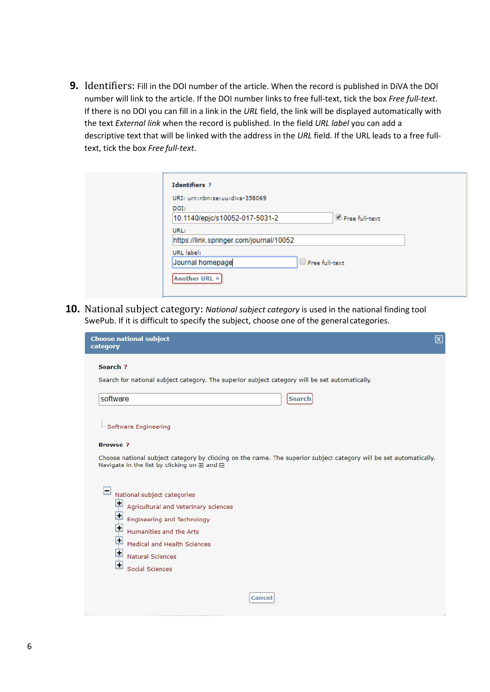**9.** Identifiers: Fill in the DOI number of the article. When the record is published in DiVA the DOI number will link to the article. If the DOI number links to free full-text, tick the box *Free full-text*. If there is no DOI you can fill in a link in the *URL* field, the link will be displayed automatically with the text *External link* when the record is published. In the field *URL label* you can add a descriptive text that will be linked with the address in the *URL* field*.* If the URL leads to a free fulltext, tick the box *Free full-text*.

| <b>Identifiers ?</b>                    |                |
|-----------------------------------------|----------------|
| URI: urn:nbn:se:uu:diva-358069          |                |
| DOI:                                    |                |
| 10.1140/epjc/s10052-017-5031-2          | Free full-text |
| URL:                                    |                |
| https://link.springer.com/journal/10052 |                |
| URL label:                              |                |
| Journal homepage                        | Free full-text |
| Another URL »                           |                |

**10.** National subject category: *National subject category* is used in the national finding tool SwePub. If it is difficult to specify the subject, choose one of the generalcategories.

| Search ?                                                                                                                                                          |  |
|-------------------------------------------------------------------------------------------------------------------------------------------------------------------|--|
| Search for national subject category. The superior subject category will be set automatically.                                                                    |  |
| software<br><b>Search</b>                                                                                                                                         |  |
| Software Engineering                                                                                                                                              |  |
| <b>Browse</b> ?                                                                                                                                                   |  |
| Choose national subject category by clicking on the name. The superior subject category will be set automatically.<br>Navigate in the list by clicking on ⊞ and ⊟ |  |
|                                                                                                                                                                   |  |
| ш<br>National subject categories                                                                                                                                  |  |
| Ŧ<br>Agricultural and Veterinary sciences                                                                                                                         |  |
| $\overline{\text{H}}$ Engineering and Technology                                                                                                                  |  |
| $\blacksquare$<br>Humanities and the Arts                                                                                                                         |  |
| Ξ<br>Medical and Health Sciences                                                                                                                                  |  |
| L.<br><b>Natural Sciences</b>                                                                                                                                     |  |
| $\blacksquare$<br>Social Sciences                                                                                                                                 |  |
| Cancel                                                                                                                                                            |  |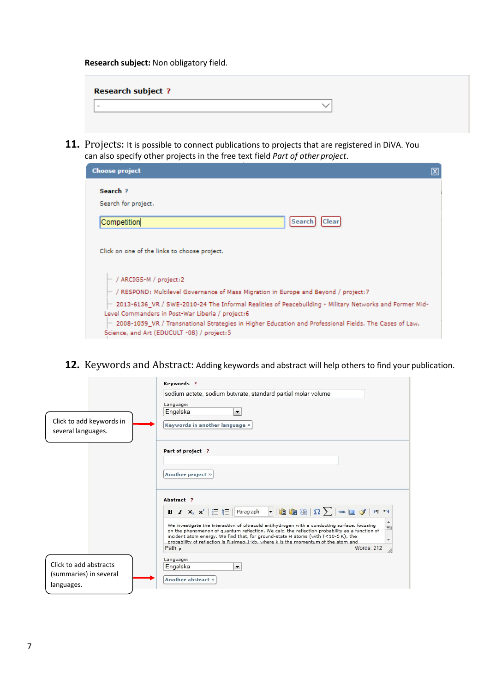**Research subject:** Non obligatory field.

| <b>Research subject ?</b> |  |
|---------------------------|--|
| -                         |  |
|                           |  |

11. Projects: It is possible to connect publications to projects that are registered in DiVA. You can also specify other projects in the free text field *Part of other project*.

| <b>Choose project</b>                                                                                                                                          |
|----------------------------------------------------------------------------------------------------------------------------------------------------------------|
| Search <sub>2</sub>                                                                                                                                            |
| Search for project.                                                                                                                                            |
| Competition<br>Search<br>Clear                                                                                                                                 |
| Click on one of the links to choose project.                                                                                                                   |
| $-$ / ARCIGS-M / project:2                                                                                                                                     |
| $\vdash$ / RESPOND: Multilevel Governance of Mass Migration in Europe and Beyond / project:7                                                                   |
| $-$ 2013-6136 VR / SWE-2010-24 The Informal Realities of Peacebuilding - Military Networks and Former Mid-<br>Level Commanders in Post-War Liberia / project:6 |
| $-$ 2008-1059_VR / Transnational Strategies in Higher Education and Professional Fields. The Cases of Law,<br>Science, and Art (EDUCULT -08) / project:5       |

**12.** Keywords and Abstract: Adding keywords and abstract will help others to find your publication.

| Click to add keywords in<br>several languages.                 | Keywords ?<br>sodium actete, sodium butyrate, standard partial molar volume<br>Language:<br>Engelska<br>۰<br>Keywords in another language »                                                                                                                                                                                                                                                                                                                                                                                                                     |
|----------------------------------------------------------------|-----------------------------------------------------------------------------------------------------------------------------------------------------------------------------------------------------------------------------------------------------------------------------------------------------------------------------------------------------------------------------------------------------------------------------------------------------------------------------------------------------------------------------------------------------------------|
|                                                                | Part of project ?<br>Another project »                                                                                                                                                                                                                                                                                                                                                                                                                                                                                                                          |
|                                                                | Abstract ?<br>$\cdot$   Geo ( ) $\Omega$ $\sum$   htm. $\Box$ of   $\sim$ 11<br><b>B</b> $I \times_{2}^{\circ} \mathbf{x}^{2}$ $\mid \vdots \equiv \mid \equiv \mid$ Paragraph<br>We investigate the interaction of ultracold antihydrogen with a conducting surface, focusing<br>E<br>on the phenomenon of quantum reflection. We calc. the reflection probability as a function of<br>incident atom energy. We find that, for ground-state H atoms (with T<10-5 K), the<br>probability of reflection is R.simeg.1-kb, where k is the momentum of the atom and |
| Click to add abstracts<br>(summaries) in several<br>languages. | Path: $p$<br>Words: 212<br>Language:<br>Engelska<br>$\blacktriangledown$<br>Another abstract »                                                                                                                                                                                                                                                                                                                                                                                                                                                                  |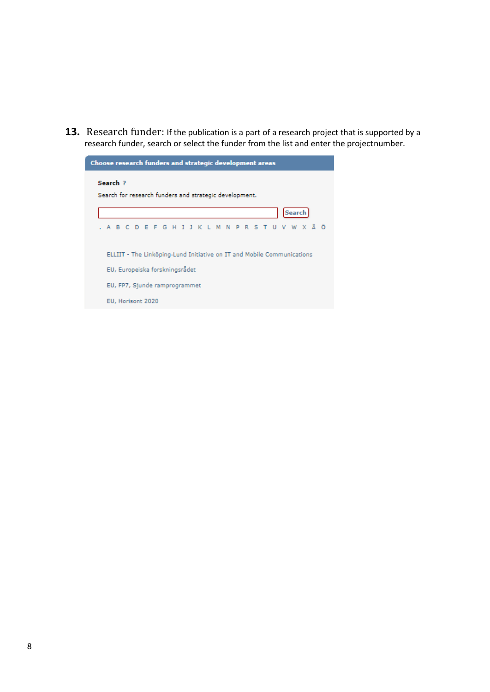**13.** Research funder: If the publication is a part of a research project that is supported by a research funder, search or select the funder from the list and enter the projectnumber.

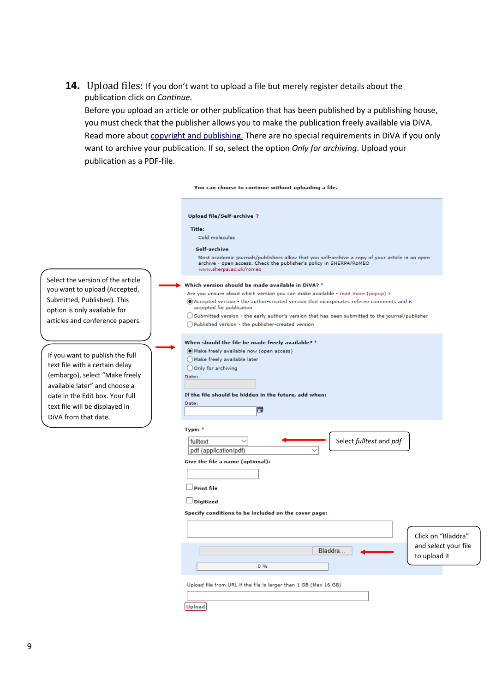**14.** Upload files: If you don't want to upload a file but merely register details about the publication click on *Continue*.

Before you upload an article or other publication that has been published by a publishing house, you must check that the publisher allows you to make the publication freely available via DiVA. Read more about [copyright and publishing.](http://www.ub.uu.se/publish/copyright-when-publishing/) There are no special requirements in DiVA if you only want to archive your publication. If so, select the option *Only for archiving*. Upload your publication as a PDF-file.

|                                                                                                                                                                                                                                   | You can choose to continue without uploading a file.                                                                                                                                                                                                                                                                                                                                                                                 |
|-----------------------------------------------------------------------------------------------------------------------------------------------------------------------------------------------------------------------------------|--------------------------------------------------------------------------------------------------------------------------------------------------------------------------------------------------------------------------------------------------------------------------------------------------------------------------------------------------------------------------------------------------------------------------------------|
|                                                                                                                                                                                                                                   | Upload file/Self-archive ?<br><b>Title:</b><br>Cold molecules<br>Self-archive<br>Most academic journals/publishers allow that you self-archive a copy of your article in an open<br>archive - open access. Check the publisher's policy in SHERPA/RoMEO<br>www.sherpa.ac.uk/romeo                                                                                                                                                    |
| Select the version of the article<br>you want to upload (Accepted,<br>Submitted, Published). This<br>option is only available for<br>articles and conference papers.                                                              | Which version should be made available in DiVA? $^\ast$<br>Are you unsure about which version you can make available - read more (popup) »<br>Accepted version - the author-created version that incorporates referee comments and is<br>accepted for publication<br>$\bigcirc$ Submitted version - the early author's version that has been submitted to the journal/publisher<br>Published version - the publisher-created version |
| If you want to publish the full<br>text file with a certain delay<br>(embargo), select "Make freely<br>available later" and choose a<br>date in the Edit box. Your full<br>text file will be displayed in<br>DiVA from that date. | When should the file be made freely available? *<br>(C) Make freely available now (open access)<br>Make freely available later<br>Oonly for archiving<br>Date:<br>If the file should be hidden in the future, add when:<br>Date:<br>b                                                                                                                                                                                                |
|                                                                                                                                                                                                                                   | Type: *<br>Select fulltext and pdf<br>fulltext<br>pdf (application/pdf)<br>Give the file a name (optional):<br><b>Print file</b><br>$\Box$ Digitized<br>Specify conditions to be included on the cover page:                                                                                                                                                                                                                         |
|                                                                                                                                                                                                                                   | Click on "Bläddra"<br>and select your file<br>Bläddra<br>to upload it<br>0.96<br>Upload file from URL if the file is larger than 1 GB (Max 16 GB)<br><b>Upload</b>                                                                                                                                                                                                                                                                   |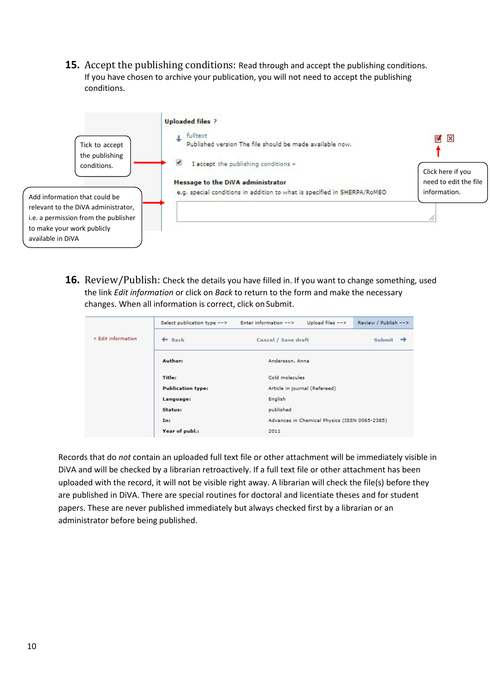**15.** Accept the publishing conditions: Read through and accept the publishing conditions. If you have chosen to archive your publication, you will not need to accept the publishing conditions.



**16.** Review/Publish: Check the details you have filled in. If you want to change something, used the link *Edit information* or click on *Back* to return to the form and make the necessary changes. When all information is correct, click on Submit.

|                    | Select publication type $\rightarrow$ Enter information $\rightarrow$ |           | Upload files $-->$                                    | Review / Publish --> |  |
|--------------------|-----------------------------------------------------------------------|-----------|-------------------------------------------------------|----------------------|--|
| « Edit information | $\leftarrow$ Back                                                     |           | Cancel / Save draft                                   |                      |  |
|                    | Author:                                                               |           | Andersson, Anna                                       |                      |  |
|                    | Title:                                                                |           | Cold molecules                                        |                      |  |
|                    | <b>Publication type:</b>                                              |           | Article in journal (Refereed)                         |                      |  |
|                    | Language:                                                             | English   |                                                       |                      |  |
|                    | Status:                                                               | published | Advances in Chemical Physics (ISSN 0065-2385)<br>2011 |                      |  |
|                    | In:                                                                   |           |                                                       |                      |  |
|                    | Year of publ.:                                                        |           |                                                       |                      |  |

Records that do *not* contain an uploaded full text file or other attachment will be immediately visible in DiVA and will be checked by a librarian retroactively. If a full text file or other attachment has been uploaded with the record, it will not be visible right away. A librarian will check the file(s) before they are published in DiVA. There are special routines for doctoral and licentiate theses and for student papers. These are never published immediately but always checked first by a librarian or an administrator before being published.